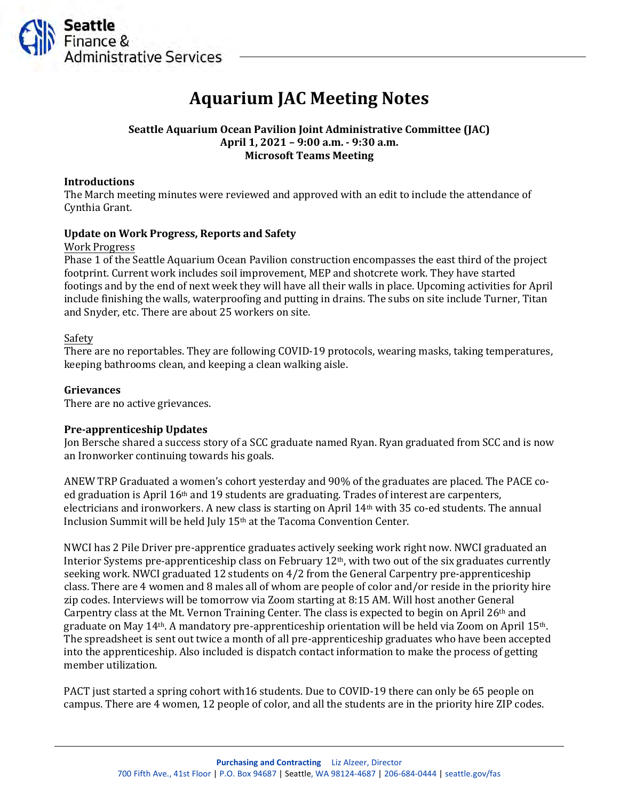

# **Aquarium JAC Meeting Notes**

## **Seattle Aquarium Ocean Pavilion Joint Administrative Committee (JAC) April 1, 2021 – 9:00 a.m. - 9:30 a.m. Microsoft Teams Meeting**

#### **Introductions**

The March meeting minutes were reviewed and approved with an edit to include the attendance of Cynthia Grant.

## **Update on Work Progress, Reports and Safety**

#### Work Progress

Phase 1 of the Seattle Aquarium Ocean Pavilion construction encompasses the east third of the project footprint. Current work includes soil improvement, MEP and shotcrete work. They have started footings and by the end of next week they will have all their walls in place. Upcoming activities for April include finishing the walls, waterproofing and putting in drains. The subs on site include Turner, Titan and Snyder, etc. There are about 25 workers on site.

## Safety

There are no reportables. They are following COVID-19 protocols, wearing masks, taking temperatures, keeping bathrooms clean, and keeping a clean walking aisle.

## **Grievances**

There are no active grievances.

#### **Pre-apprenticeship Updates**

Jon Bersche shared a success story of a SCC graduate named Ryan. Ryan graduated from SCC and is now an Ironworker continuing towards his goals.

ANEW TRP Graduated a women's cohort yesterday and 90% of the graduates are placed. The PACE coed graduation is April  $16<sup>th</sup>$  and 19 students are graduating. Trades of interest are carpenters, electricians and ironworkers. A new class is starting on April 14th with 35 co-ed students. The annual Inclusion Summit will be held July 15th at the Tacoma Convention Center.

NWCI has 2 Pile Driver pre-apprentice graduates actively seeking work right now. NWCI graduated an Interior Systems pre-apprenticeship class on February 12th, with two out of the six graduates currently seeking work. NWCI graduated 12 students on 4/2 from the General Carpentry pre-apprenticeship class. There are 4 women and 8 males all of whom are people of color and/or reside in the priority hire zip codes. Interviews will be tomorrow via Zoom starting at 8:15 AM. Will host another General Carpentry class at the Mt. Vernon Training Center. The class is expected to begin on April  $26<sup>th</sup>$  and graduate on May 14th. A mandatory pre-apprenticeship orientation will be held via Zoom on April 15th. The spreadsheet is sent out twice a month of all pre-apprenticeship graduates who have been accepted into the apprenticeship. Also included is dispatch contact information to make the process of getting member utilization.

PACT just started a spring cohort with16 students. Due to COVID-19 there can only be 65 people on campus. There are 4 women, 12 people of color, and all the students are in the priority hire ZIP codes.